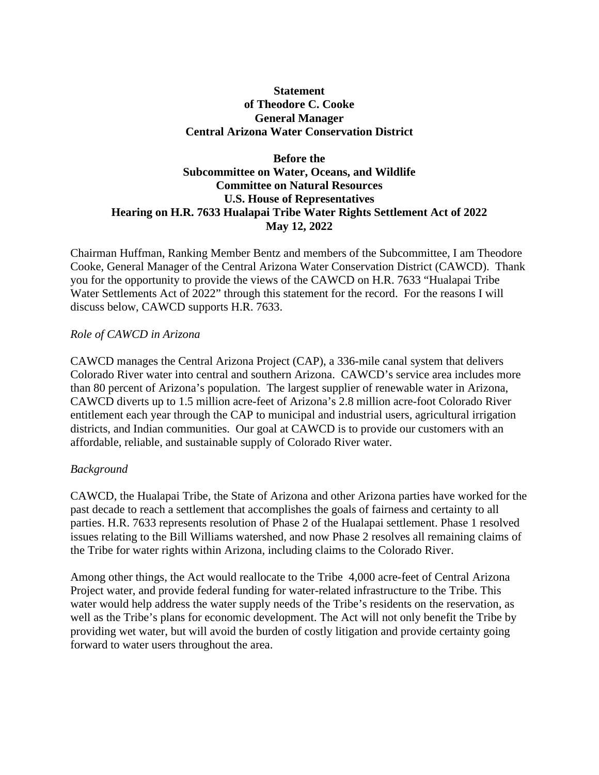### **Statement of Theodore C. Cooke General Manager Central Arizona Water Conservation District**

# **Before the Subcommittee on Water, Oceans, and Wildlife Committee on Natural Resources U.S. House of Representatives Hearing on H.R. 7633 Hualapai Tribe Water Rights Settlement Act of 2022 May 12, 2022**

Chairman Huffman, Ranking Member Bentz and members of the Subcommittee, I am Theodore Cooke, General Manager of the Central Arizona Water Conservation District (CAWCD). Thank you for the opportunity to provide the views of the CAWCD on H.R. 7633 "Hualapai Tribe Water Settlements Act of 2022" through this statement for the record. For the reasons I will discuss below, CAWCD supports H.R. 7633.

# *Role of CAWCD in Arizona*

CAWCD manages the Central Arizona Project (CAP), a 336-mile canal system that delivers Colorado River water into central and southern Arizona. CAWCD's service area includes more than 80 percent of Arizona's population. The largest supplier of renewable water in Arizona, CAWCD diverts up to 1.5 million acre-feet of Arizona's 2.8 million acre-foot Colorado River entitlement each year through the CAP to municipal and industrial users, agricultural irrigation districts, and Indian communities. Our goal at CAWCD is to provide our customers with an affordable, reliable, and sustainable supply of Colorado River water.

#### *Background*

CAWCD, the Hualapai Tribe, the State of Arizona and other Arizona parties have worked for the past decade to reach a settlement that accomplishes the goals of fairness and certainty to all parties. H.R. 7633 represents resolution of Phase 2 of the Hualapai settlement. Phase 1 resolved issues relating to the Bill Williams watershed, and now Phase 2 resolves all remaining claims of the Tribe for water rights within Arizona, including claims to the Colorado River.

Among other things, the Act would reallocate to the Tribe 4,000 acre-feet of Central Arizona Project water, and provide federal funding for water-related infrastructure to the Tribe. This water would help address the water supply needs of the Tribe's residents on the reservation, as well as the Tribe's plans for economic development. The Act will not only benefit the Tribe by providing wet water, but will avoid the burden of costly litigation and provide certainty going forward to water users throughout the area.